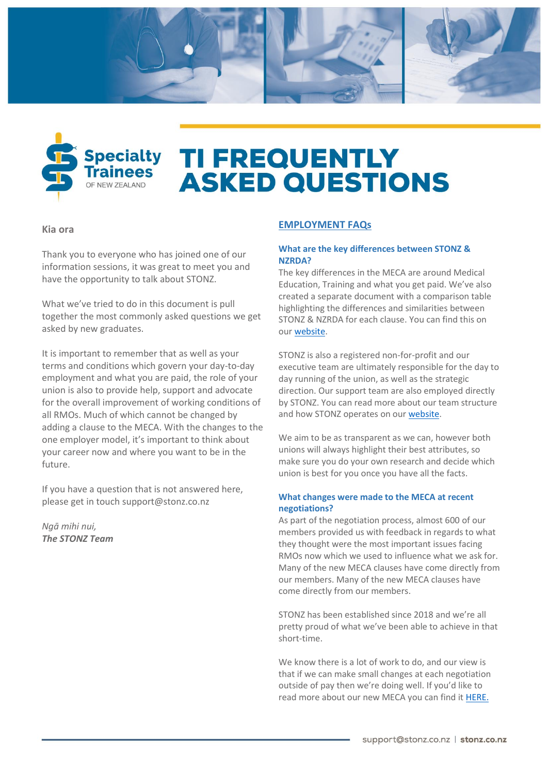



# **TI FREQUENTLY ASKED QUESTIONS**

#### **Kia ora**

Thank you to everyone who has joined one of our information sessions, it was great to meet you and have the opportunity to talk about STONZ.

What we've tried to do in this document is pull together the most commonly asked questions we get asked by new graduates.

It is important to remember that as well as your terms and conditions which govern your day-to-day employment and what you are paid, the role of your union is also to provide help, support and advocate for the overall improvement of working conditions of all RMOs. Much of which cannot be changed by adding a clause to the MECA. With the changes to the one employer model, it's important to think about your career now and where you want to be in the future.

If you have a question that is not answered here, please get in touc[h support@stonz.co.nz](mailto:support@stonz.co.nz)

*Ngā mihi nui, The STONZ Team*

### **EMPLOYMENT FAQs**

#### **What are the key differences between STONZ & NZRDA?**

The key differences in the MECA are around Medical Education, Training and what you get paid. We've also created a separate document with a comparison table highlighting the differences and similarities between STONZ & NZRDA for each clause. You can find this on our [website.](https://www.stonz.co.nz/site_files/25088/upload_files/STONZMECAComparisonDec2021(002).pdf?dl=1)

STONZ is also a registered non-for-profit and our executive team are ultimately responsible for the day to day running of the union, as well as the strategic direction. Our support team are also employed directly by STONZ. You can read more about our team structure and how STONZ operates on ou[r website.](https://www.stonz.co.nz/who-we-are/)

We aim to be as transparent as we can, however both unions will always highlight their best attributes, so make sure you do your own research and decide which union is best for you once you have all the facts.

#### **What changes were made to the MECA at recent negotiations?**

As part of the negotiation process, almost 600 of our members provided us with feedback in regards to what they thought were the most important issues facing RMOs now which we used to influence what we ask for. Many of the new MECA clauses have come directly from our members. Many of the new MECA clauses have come directly from our members.

STONZ has been established since 2018 and we're all pretty proud of what we've been able to achieve in that short-time.

We know there is a lot of work to do, and our view is that if we can make small changes at each negotiation outside of pay then we're doing well. If you'd like to read more about our new MECA you can find it [HERE.](https://www.stonz.co.nz/site_files/25088/upload_files/STONZMECASummarybrochure.pdf?dl=1)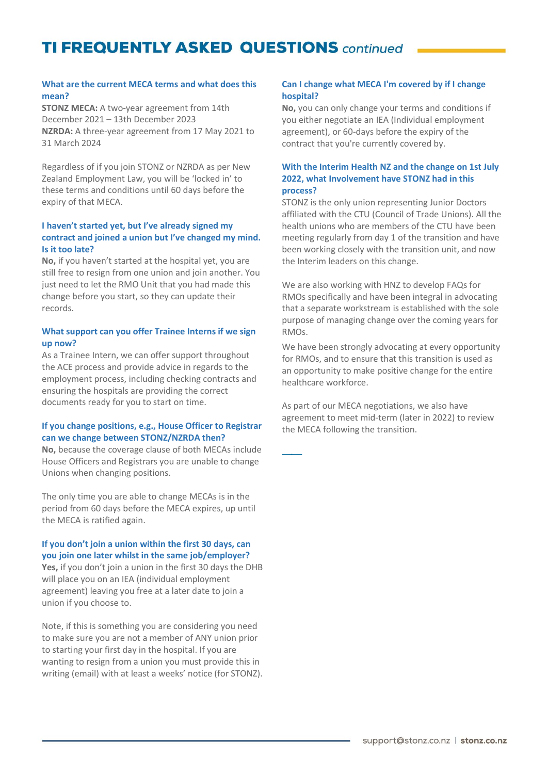#### **What are the current MECA terms and what does this mean?**

**STONZ MECA:** A two-year agreement from 14th December 2021 – 13th December 2023 **NZRDA:** A three-year agreement from 17 May 2021 to 31 March 2024

Regardless of if you join STONZ or NZRDA as per New Zealand Employment Law, you will be 'locked in' to these terms and conditions until 60 days before the expiry of that MECA.

#### **I haven't started yet, but I've already signed my contract and joined a union but I've changed my mind. Is it too late?**

**No,** if you haven't started at the hospital yet, you are still free to resign from one union and join another. You just need to let the RMO Unit that you had made this change before you start, so they can update their records.

#### **What support can you offer Trainee Interns if we sign up now?**

As a Trainee Intern, we can offer support throughout the ACE process and provide advice in regards to the employment process, including checking contracts and ensuring the hospitals are providing the correct documents ready for you to start on time.

#### **If you change positions, e.g., House Officer to Registrar can we change between STONZ/NZRDA then?**

**No,** because the coverage clause of both MECAs include House Officers and Registrars you are unable to change Unions when changing positions.

The only time you are able to change MECAs is in the period from 60 days before the MECA expires, up until the MECA is ratified again.

#### **If you don't join a union within the first 30 days, can you join one later whilst in the same job/employer?**

**Yes,** if you don't join a union in the first 30 days the DHB will place you on an IEA (individual employment agreement) leaving you free at a later date to join a union if you choose to.

Note, if this is something you are considering you need to make sure you are not a member of ANY union prior to starting your first day in the hospital. If you are wanting to resign from a union you must provide this in writing (email) with at least a weeks' notice (for STONZ).

#### **Can I change what MECA I'm covered by if I change hospital?**

**No,** you can only change your terms and conditions if you either negotiate an IEA (Individual employment agreement), or 60-days before the expiry of the contract that you're currently covered by.

#### **With the Interim Health NZ and the change on 1st July 2022, what Involvement have STONZ had in this process?**

STONZ is the only union representing Junior Doctors affiliated with the CTU (Council of Trade Unions). All the health unions who are members of the CTU have been meeting regularly from day 1 of the transition and have been working closely with the transition unit, and now the Interim leaders on this change.

We are also working with HNZ to develop FAQs for RMOs specifically and have been integral in advocating that a separate workstream is established with the sole purpose of managing change over the coming years for RMOs.

We have been strongly advocating at every opportunity for RMOs, and to ensure that this transition is used as an opportunity to make positive change for the entire healthcare workforce.

As part of our MECA negotiations, we also have agreement to meet mid-term (later in 2022) to review the MECA following the transition.

—<br>——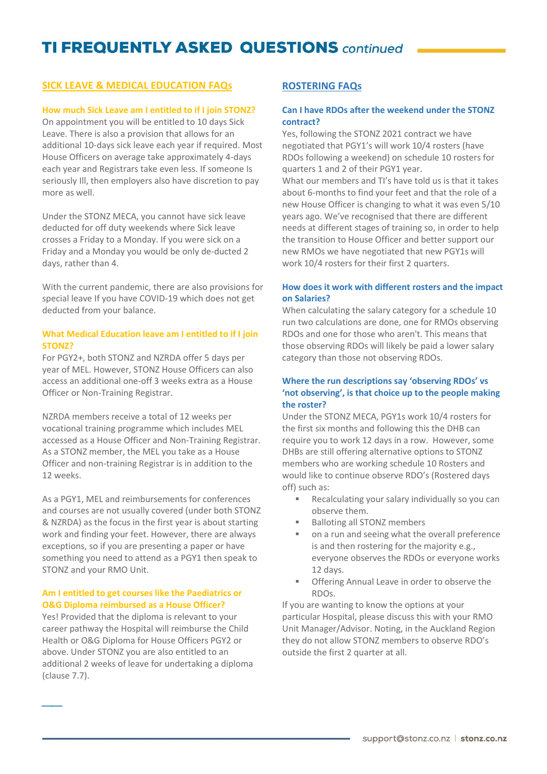### **SICK LEAVE & MEDICAL EDUCATION FAQS**

#### **How much Sick Leave am I entitled to if I join STONZ?**

On appointment you will be entitled to 10 days Sick Leave. There is also a provision that allows for an additional 10-days sick leave each year if required. Most House Officers on average take approximately 4-days each year and Registrars take even less. If someone Is seriously Ill, then employers also have discretion to pay more as well.

Under the STONZ MECA, you cannot have sick leave deducted for off duty weekends where Sick leave crosses a Friday to a Monday. If you were sick on a Friday and a Monday you would be only de-ducted 2 days, rather than 4.

With the current pandemic, there are also provisions for special leave If you have COVID-19 which does not get deducted from your balance.

#### **What Medical Education leave am I entitled to if I join STONZ?**

For PGY2+, both STONZ and NZRDA offer 5 days per year of MEL. However, STONZ House Officers can also access an additional one-off 3 weeks extra as a House Officer or Non-Training Registrar.

NZRDA members receive a total of 12 weeks per vocational training programme which includes MEL accessed as a House Officer and Non-Training Registrar. As a STONZ member, the MEL you take as a House Officer and non-training Registrar is in addition to the 12 weeks.

As a PGY1, MEL and reimbursements for conferences and courses are not usually covered (under both STONZ & NZRDA) as the focus in the first year is about starting work and finding your feet. However, there are always exceptions, so if you are presenting a paper or have something you need to attend as a PGY1 then speak to STONZ and your RMO Unit.

#### **Am I entitled to get courses like the Paediatrics or O&G Diploma reimbursed as a House Officer?**

Yes! Provided that the diploma is relevant to your career pathway the Hospital will reimburse the Child Health or O&G Diploma for House Officers PGY2 or above. Under STONZ you are also entitled to an additional 2 weeks of leave for undertaking a diploma (clause 7.7).

⎯⎯

### **ROSTERING FAQs**

### **Can I have RDOs after the weekend under the STONZ contract?**

Yes, following the STONZ 2021 contract we have negotiated that PGY1's will work 10/4 rosters (have RDOs following a weekend) on schedule 10 rosters for quarters 1 and 2 of their PGY1 year.

What our members and TI's have told us is that it takes about 6-months to find your feet and that the role of a new House Officer is changing to what it was even 5/10 years ago. We've recognised that there are different needs at different stages of training so, in order to help the transition to House Officer and better support our new RMOs we have negotiated that new PGY1s will work 10/4 rosters for their first 2 quarters.

#### **How does it work with different rosters and the impact on Salaries?**

When calculating the salary category for a schedule 10 run two calculations are done, one for RMOs observing RDOs and one for those who aren't. This means that those observing RDOs will likely be paid a lower salary category than those not observing RDOs.

#### **Where the run descriptions say 'observing RDOs' vs 'not observing', is that choice up to the people making the roster?**

Under the STONZ MECA, PGY1s work 10/4 rosters for the first six months and following this the DHB can require you to work 12 days in a row. However, some DHBs are still offering alternative options to STONZ members who are working schedule 10 Rosters and would like to continue observe RDO's (Rostered days off) such as:

- Recalculating your salary individually so you can observe them.
- Balloting all STONZ members
- on a run and seeing what the overall preference is and then rostering for the majority e.g., everyone observes the RDOs or everyone works 12 days.
- **Offering Annual Leave in order to observe the** RDOs.

If you are wanting to know the options at your particular Hospital, please discuss this with your RMO Unit Manager/Advisor. Noting, in the Auckland Region they do not allow STONZ members to observe RDO's outside the first 2 quarter at all.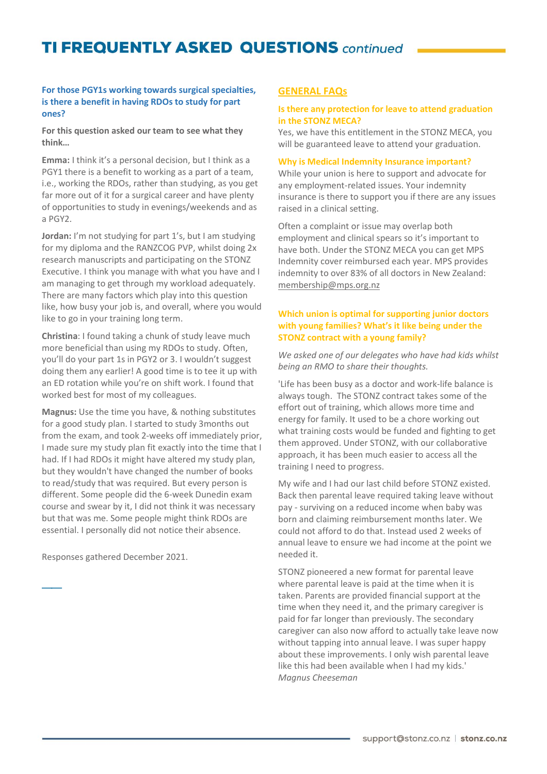#### **For those PGY1s working towards surgical specialties, is there a benefit in having RDOs to study for part ones?**

**For this question asked our team to see what they think…**

**Emma:** I think it's a personal decision, but I think as a PGY1 there is a benefit to working as a part of a team, i.e., working the RDOs, rather than studying, as you get far more out of it for a surgical career and have plenty of opportunities to study in evenings/weekends and as a PGY2.

**Jordan:** I'm not studying for part 1's, but I am studying for my diploma and the RANZCOG PVP, whilst doing 2x research manuscripts and participating on the STONZ Executive. I think you manage with what you have and I am managing to get through my workload adequately. There are many factors which play into this question like, how busy your job is, and overall, where you would like to go in your training long term.

**Christina**: I found taking a chunk of study leave much more beneficial than using my RDOs to study. Often, you'll do your part 1s in PGY2 or 3. I wouldn't suggest doing them any earlier! A good time is to tee it up with an ED rotation while you're on shift work. I found that worked best for most of my colleagues.

**Magnus:** Use the time you have, & nothing substitutes for a good study plan. I started to study 3months out from the exam, and took 2-weeks off immediately prior, I made sure my study plan fit exactly into the time that I had. If I had RDOs it might have altered my study plan, but they wouldn't have changed the number of books to read/study that was required. But every person is different. Some people did the 6-week Dunedin exam course and swear by it, I did not think it was necessary but that was me. Some people might think RDOs are essential. I personally did not notice their absence.

Responses gathered December 2021.

 $\overline{\phantom{a}}$ 

#### **GENERAL FAQs**

#### **Is there any protection for leave to attend graduation in the STONZ MECA?**

Yes, we have this entitlement in the STONZ MECA, you will be guaranteed leave to attend your graduation.

#### **Why is Medical Indemnity Insurance important?**

While your union is here to support and advocate for any employment-related issues. Your indemnity insurance is there to support you if there are any issues raised in a clinical setting.

Often a complaint or issue may overlap both employment and clinical spears so it's important to have both. Under the STONZ MECA you can get MPS Indemnity cover reimbursed each year. MPS provides indemnity to over 83% of all doctors in New Zealand: [membership@mps.org.nz](mailto:membership@mps.org.nz)

#### **Which union is optimal for supporting junior doctors with young families? What's it like being under the STONZ contract with a young family?**

*We asked one of our delegates who have had kids whilst being an RMO to share their thoughts.*

'Life has been busy as a doctor and work-life balance is always tough. The STONZ contract takes some of the effort out of training, which allows more time and energy for family. It used to be a chore working out what training costs would be funded and fighting to get them approved. Under STONZ, with our collaborative approach, it has been much easier to access all the training I need to progress.

My wife and I had our last child before STONZ existed. Back then parental leave required taking leave without pay - surviving on a reduced income when baby was born and claiming reimbursement months later. We could not afford to do that. Instead used 2 weeks of annual leave to ensure we had income at the point we needed it.

STONZ pioneered a new format for parental leave where parental leave is paid at the time when it is taken. Parents are provided financial support at the time when they need it, and the primary caregiver is paid for far longer than previously. The secondary caregiver can also now afford to actually take leave now without tapping into annual leave. I was super happy about these improvements. I only wish parental leave like this had been available when I had my kids.' *Magnus Cheeseman*